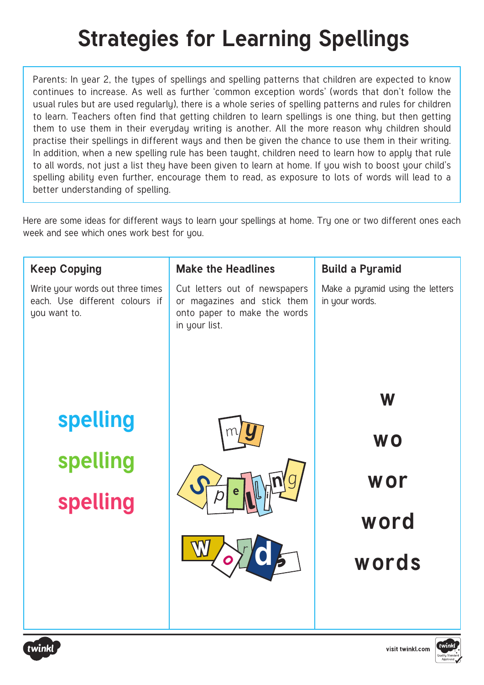## **Strategies for Learning Spellings**

Parents: In year 2, the types of spellings and spelling patterns that children are expected to know continues to increase. As well as further 'common exception words' (words that don't follow the usual rules but are used regularly), there is a whole series of spelling patterns and rules for children to learn. Teachers often find that getting children to learn spellings is one thing, but then getting them to use them in their everyday writing is another. All the more reason why children should practise their spellings in different ways and then be given the chance to use them in their writing. In addition, when a new spelling rule has been taught, children need to learn how to apply that rule to all words, not just a list they have been given to learn at home. If you wish to boost your child's spelling ability even further, encourage them to read, as exposure to lots of words will lead to a better understanding of spelling.

Here are some ideas for different ways to learn your spellings at home. Try one or two different ones each week and see which ones work best for you.

| <b>Keep Copying</b>                                                                | <b>Make the Headlines</b>                                                                                     | <b>Build a Pyramid</b>                             |
|------------------------------------------------------------------------------------|---------------------------------------------------------------------------------------------------------------|----------------------------------------------------|
| Write your words out three times<br>each. Use different colours if<br>you want to. | Cut letters out of newspapers<br>or magazines and stick them<br>onto paper to make the words<br>in your list. | Make a pyramid using the letters<br>in your words. |
|                                                                                    |                                                                                                               | W                                                  |
| <b>spelling</b>                                                                    |                                                                                                               |                                                    |
| spelling                                                                           |                                                                                                               | <b>WO</b>                                          |
|                                                                                    |                                                                                                               | wor                                                |
| spelling                                                                           |                                                                                                               | word                                               |
|                                                                                    |                                                                                                               |                                                    |
|                                                                                    |                                                                                                               | words                                              |
|                                                                                    |                                                                                                               |                                                    |